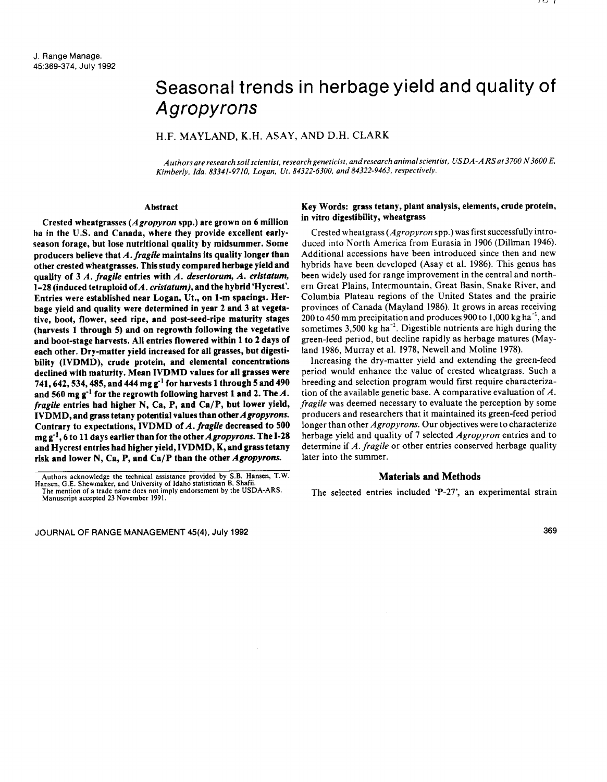# Seasonal trends in herbage yield and quality of Agropyrons

# H.F. MAYLAND, K.H. ASAY, AND D.H. CLARK

*Authors are research soil scientist, research geneticist, and research animal scientist, USDA-A RS at 3700 N 3600 E, Kimberly, Ida. 83341-9710, Logan, Ut. 84322-6300, and 84322-9463, respectively.*

#### **Abstract**

**Crested wheatgrasses** *(***A** *gropyron* **spp.)** are grown **on 6 million** *ha in* **the** U.S. **and Canada, where they provide excellent earlyseason forage, but lose nutritional quality by midsummer. Some producers believe that A.** *fragile maintains* **its quality longer than other crested wheatgrasses. This study compared herbage yield and quality of 3** *A. fragile* **entries with** *A. deserlorum, A. cristatum,* **1-28 (induced tetr aploid of A.** *cristatum),* **and the hybrid Ilycrest'. Entries were established near Logan, Ut., on 1-m spacings. Herbage yield and quality were determined in year** 2 and 3 at **vegetative, boot, flower, seed ripe, and post-seed-ripe maturity stages (harvests 1 through 5) and on regrowth following the vegetative and boot-stage harvests.** All **entries flowered within 1 to** 2 **days of each other. Dry-matter yield increased for** all grasses, **but digestibility (IVDMD), crude protein, and elemental concentrations declined with maturity. Mean IVDMD values for all grasses were 741,642,534,485, and 444 mg g- 1 for harvests 1 through 5 and 490** and 560 mg  $g^{-1}$  for the regrowth following harvest 1 and 2. The  $A$ . *fragile* **entries had higher** N, **Ca, P, and Ca/P, but lower yield, IVDMD, and grass tetany potential values than other** *Agropyrons.* **Contrary to expectations, IVDMD of** A. *fragile* **decreased to 500 mg g- <sup>1</sup> , 6 to 11 days earlier than for the other** *Agropyrons.* **The 1-28 and Hycrest entries had higher yield, IVDMD, K, and grass tetany risk and lower** N, **Ca, P, and Ca/P than the other** *Agropyrons.*

JOURNAL OF RANGE MANAGEMENT 45(4), July 1992 369

# **Key Words: grass tetany, plant analysis, elements, crude protein, in vitro digestibility, wheatgrass**

Crested wheatgrass *(Agropyron* spp.) was first successfully introduced into North America from Eurasia in 1906 (Dillman 1946). Additional accessions have been introduced since then and new hybrids have been developed (Asay et al. 1986). This genus has been widely used for range improvement in the central and northern Great Plains, Intermountain, Great Basin, Snake River, and Columbia Plateau regions of the United States and the prairie provinces of Canada (Mayland 1986). It grows in areas receiving  $200$  to 450 mm precipitation and produces 900 to 1,000 kg ha<sup>-1</sup>, and sometimes  $3,500$  kg ha<sup>-1</sup>. Digestible nutrients are high during the green-feed period, but decline rapidly as herbage matures (Mayland 1986, Murray et al. 1978, Newell and Moline 1978).

Increasing the dry-matter yield and extending the green-feed period would enhance the value of crested wheatgrass. Such a breeding and selection program would first require characterization of the available genetic base. A comparative evaluation of *A. fragile* was deemed necessary to evaluate the perception by some producers and researchers that it maintained its green-feed period longer than other *Agropyrons.* Our objectives were to characterize herbage yield and quality of 7 selected *Agropyron* entries and to determine if *A. fragile* or other entries conserved herbage quality later into the summer.

### **Materials and Methods**

The selected entries included `P-27', an experimental strain

Authors acknowledge the technical assistance provided by S.B. Hansen, T.W. Hansen, G.E. Shewmaker, and University of Idaho statistician B. Shafii. The mention of a trade name does not imply endorsement by the USDA-ARS.

Manuscript accepted 23 November 1991.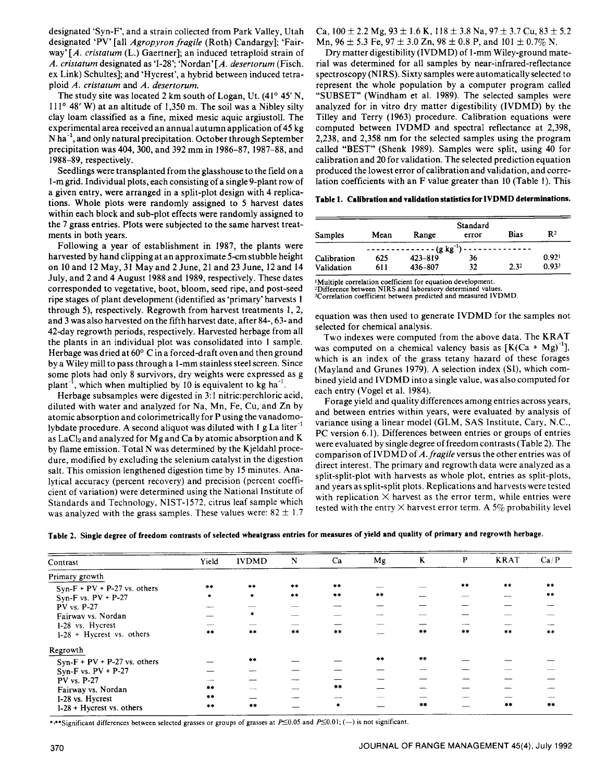designated `Syn-F', and a strain collected from Park Valley, Utah designated 'PV' [all *Agropyron fragile* (Roth) Candargy]; 'Fairway' *[A. cristatum* (L.) Gaertner]; an induced tetraploid strain of *A. cristatum* designated as <sup>1</sup> 1-28'; `Nordan' [A. *desertorum* (Fisch. ex Link) Schultes]; and 'Hycrest', a hybrid between induced tetraploid *A. cristatum* and *A. desertorum.*

The study site was located 2 km south of Logan, Ut. (41° 45' N, 111° 48' W) at an altitude of 1,350 m. The soil was a Nibley silty clay loam classified as a fine, mixed mesic aquic argiustoll. The experimental area received an annual autumn application of 45 kg  $N$  ha<sup>-1</sup>, and only natural precipitation. October through September precipitation was 404, 300, and 392 mm in 1986-87, 1987-88, and 1988-89, respectively.

Seedlings were transplanted from the glasshouse to the field on a 1-m grid. Individual plots, each consisting of a single 9-plant row of a given entry, were arranged in a split-plot design with 4 replications. Whole plots were randomly assigned to 5 harvest dates within each block and sub-plot effects were randomly assigned to the 7 grass entries. Plots were subjected to the same harvest treatments in both years.

Following a year of establishment in 1987, the plants were harvested by hand clipping at an approximate 5-cm stubble height on 10 and 12 May, 31 May and 2 June, 21 and 23 June, 12 and 14 July, and 2 and 4 August 1988 and 1989, respectively. These dates corresponded to vegetative, boot, bloom, seed ripe, and post-seed ripe stages of plant development (identified as 'primary' harvests 1 through 5), respectively. Regrowth from harvest treatments 1, 2, and 3 was also harvested on the fifth harvest date, after 84-, 63- and 42-day regrowth periods, respectively. Harvested herbage from all the plants in an individual plot was consolidated into 1 sample. Herbage was dried at 60° C in a forced-draft oven and then ground by a Wiley mill to pass through a 1-mm stainless steel screen. Since some plots had only 8 survivors, dry weights were expressed as g plant<sup>-1</sup>, which when multiplied by 10 is equivalent to kg ha<sup>-1</sup>.

Herbage subsamples were digested in 3:1 nitric:perchloric acid, diluted with water and analyzed for Na, Mn, Fe, Cu, and Zn by atomic absorption and colorimetrically for P using the vanadomolybdate procedure. A second aliquot was diluted with 1 g La liter<sup>-1</sup> as LaC12 and analyzed for Mg and Ca by atomic absorption and K by flame emission. Total N was determined by the Kjeldahl procedure, modified by excluding the selenium catalyst in the digestion salt. This omission lengthened digestion time by 15 minutes. Analytical accuracy (percent recovery) and precision (percent coefficient of variation) were determined using the National Institute of Standards and Technology, NIST-1572, citrus leaf sample which was analyzed with the grass samples. These values were:  $82 \pm 1.7$  Ca,  $100 \pm 2.2$  Mg,  $93 \pm 1.6$  K,  $118 \pm 3.8$  Na,  $97 \pm 3.7$  Cu,  $83 \pm 5.2$ Mn, 96  $\pm$  5.3 Fe, 97  $\pm$  3.0 Zn, 98  $\pm$  0.8 P, and 101  $\pm$  0.7% N.

Dry matter digestibility (IVDMD) of 1-mm Wiley-ground material was determined for all samples by near-infrared-reflectance spectroscopy (NIRS). Sixty samples were automatically selected to represent the whole population by a computer program called "SUBSET" (Windham et al. 1989). The selected samples were analyzed for in vitro dry matter digestibility (IVDMD) by the Tilley and Terry (1963) procedure. Calibration equations were computed between IVDMD and spectral reflectance at 2,398, 2,238, and 2,358 nm for the selected samples using the program called "BEST" (Shenk 1989). Samples were split, using 40 for calibration and 20 for validation. The selected prediction equation produced the lowest error of calibration and validation, and correlation coefficients with an F value greater than 10 (Table 1). This

**Table 1. Calibration and validation statistics for IVDMD determinations.**

| <b>Samples</b> | Mean | Range            | Standard<br>error | <b>Bias</b> | $\mathbf{R}^2$    |
|----------------|------|------------------|-------------------|-------------|-------------------|
|                |      | $---(g kg^{-1})$ |                   |             |                   |
| Calibration    | 625  | $423 - 819$      | 36                |             | 0.92 <sup>t</sup> |
| Validation     | 611  | 436-807          | 32                | 2.32        | 0.933             |

'Multiple correlation coefficient for equation development.

<sup>2</sup> Difference between NIRS and laboratory determined values. ,Correlation coefficient between predicted and measured IVDMD.

equation was then used to generate IVDMD for the samples not selected for chemical analysis.

Two indexes were computed from the above data. The KRAT was computed on a chemical valency basis as  $[K(Ca + Mg)^{-1}]$ , which is an index of the grass tetany hazard of these forages (Mayland and Grunes 1979). A selection index (SI), which combined yield and IVDMD into a single value, was also computed for each entry (Vogel et al. 1984).

Forage yield and quality differences among entries across years, and between entries within years, were evaluated by analysis of variance using a linear model (GLM, SAS Institute, Cary, N.C., PC version 6.1). Differences between entries or groups of entries were evaluated by single degree of freedom contrasts (Table 2). The comparison of IVDMD of A. *fragile* versus the other entries was of direct interest. The primary and regrowth data were analyzed as a split-split-plot with harvests as whole plot, entries as split-plots, and years as split-split plots. Replications and harvests were tested with replication  $\times$  harvest as the error term, while entries were tested with the entry  $\times$  harvest error term. A 5% probability level

|  |  | Table 2. Single degree of freedom contrasts of selected wheatgrass entries for measures of yield and quality of primary and regrowth herbage |  |  |
|--|--|----------------------------------------------------------------------------------------------------------------------------------------------|--|--|
|--|--|----------------------------------------------------------------------------------------------------------------------------------------------|--|--|

| Contrast                       | Yield | <b>IVDMD</b> | N     | Ca      | Mg    | K     | $\mathbf{P}$ | <b>KRAT</b> | Ca/P  |
|--------------------------------|-------|--------------|-------|---------|-------|-------|--------------|-------------|-------|
| Primary growth                 |       |              |       |         |       |       |              |             |       |
| $Syn-F + PV + P-27$ vs. others | **    | $***$        | **    | $+ +$   |       |       | $**$         | $**$        | $**$  |
| Syn-F vs. $PV + P-27$          |       | $\star$      | $* *$ | **      | $***$ |       |              |             | $***$ |
| PV vs. P-27                    |       |              |       |         |       |       |              |             |       |
| Fairway vs. Nordan             |       | $\pmb{\ast}$ |       | --      |       |       |              |             |       |
| 1-28 vs. Hycrest               |       |              |       |         |       |       |              |             |       |
| $I-28$ + Hycrest vs. others    | $* *$ | $**$         | $***$ | $***$   |       | $***$ | $* *$        | $**$        | **    |
| Regrowth                       |       |              |       |         |       |       |              |             |       |
| $Syn-F + PV + P-27$ vs. others |       | $+ +$        |       |         | #16   | **    |              |             |       |
| Syn-F vs. $PV + P-27$          |       |              |       |         |       |       |              |             |       |
| PV vs. P-27                    |       |              |       |         |       |       |              |             |       |
| Fairway vs. Nordan             | **    |              |       | **      |       |       |              |             |       |
| I-28 vs. Hycrest               | **    |              |       | ---     |       |       |              |             |       |
| $I-28$ + Hycrest vs. others    | $***$ | **           |       | $\star$ |       | $+ +$ |              | $+ +$       | $+ +$ |

\*\*\*Significant differences between selected grasses or groups of grasses at  $P\leq 0.05$  and  $P\leq 0.01$ ; (-) is not significant.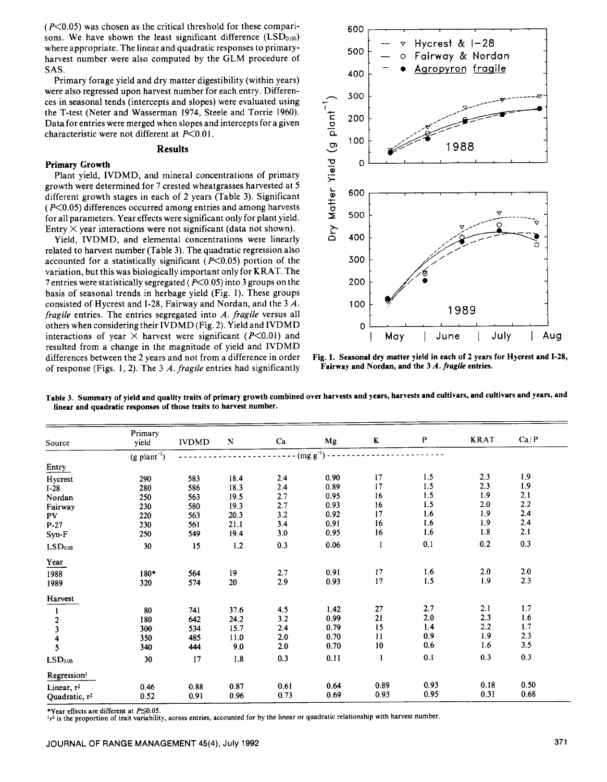$(P<0.05)$  was chosen as the critical threshold for these comparisons. We have shown the least significant difference  $(LSD<sub>0.05</sub>)$ where appropriate. The linear and quadratic responses to primaryharvest number were also computed by the GLM procedure of SAS.

Primary forage yield and dry matter digestibility (within years) were also regressed upon harvest number for each entry. Differences in seasonal tends (intercepts and slopes) were evaluated using the T-test (Neter and Wasserman 1974, Steele and Torrie 1960). Data for entries were merged when slopes and intercepts for a given characteristic were not different at P<0.01.

# **Results**

#### **Primary Growth**

Plant yield, IVDMD, and mineral concentrations of primary growth were determined for 7 crested wheatgrasses harvested at 5 different growth stages in each of 2 years (Table 3). Significant  $(P<0.05)$  differences occurred among entries and among harvests for all parameters. Year effects were significant only for plant yield. Entry  $\times$  year interactions were not significant (data not shown).

Yield, IVDMD, and elemental concentrations were linearly related to harvest number (Table 3). The quadratic regression also accounted for a statistically significant ( $P<0.05$ ) portion of the variation, but this was biologically important only for KRAT. The 7 entries were statistically segregated ( $P \le 0.05$ ) into 3 groups on the basis of seasonal trends in herbage yield (Fig. 1). These groups consisted of Hycrest and 1-28, Fairway and Nordan, and the 3 A. *fragile* entries. The entries segregated into *A. fragile* versus all others when considering their IVDMD (Fig. 2). Yield and IVDMD interactions of year  $\times$  harvest were significant ( $P \le 0.01$ ) and resulted from a change in the magnitude of yield and IVDMD differences between the 2 years and not from a difference in order of response (Figs. 1, 2). The 3 A. *fragile* entries had significantly



**Fig. 1. Seasonal dry matter yield in each of 2 years for Hycrest and 1-28, Fairway and Nordan, and the** 3 *A. fragile* **entries.**

| Source                    | Primary<br>yield           | <b>IVDMD</b> | $\mathbf N$ | Ca   | Mg            | $\bf K$ | $\mathbf P$ | <b>KRAT</b> | Ca/P    |
|---------------------------|----------------------------|--------------|-------------|------|---------------|---------|-------------|-------------|---------|
|                           | $(g$ plant <sup>-1</sup> ) |              |             |      | $(mg g^{-1})$ |         |             |             |         |
| Entry                     |                            |              |             |      |               |         |             |             |         |
| Hycrest                   | 290                        | 583          | 18.4        | 2.4  | 0.90          | 17      | 1.5         | 2.3         | 1.9     |
| $I-28$                    | 280                        | 586          | 18.3        | 2.4  | 0.89          | 17      | 1.5         | 2.3         | 1.9     |
| Nordan                    | 250                        | 563          | 19.5        | 2.7  | 0.95          | 16      | 1.5         | 1.9         | 2.1     |
| Fairway                   | 230                        | 580          | 19.3        | 2.7  | 0.93          | 16      | 1.5         | 2.0         | $2.2\,$ |
| P <sub>V</sub>            | 220                        | 563          | 20.3        | 3.2  | 0.92          | 17      | 1.6         | 1.9         | 2.4     |
| $P-27$                    | 230                        | 561          | 21.1        | 3.4  | 0.91          | 16      | 1.6         | 1.9         | 2.4     |
| Syn-F                     | 250                        | 549          | 19.4        | 3.0  | 0.95          | 16      | 1.6         | 1.8         | 2.1     |
| LSD <sub>0.05</sub>       | 30                         | 15           | $1.2\,$     | 0.3  | 0.06          | 1       | 0.1         | 0.2         | 0.3     |
| Year                      |                            |              |             |      |               |         |             |             |         |
| 1988                      | 180*                       | 564          | 19          | 2.7  | 0.91          | 17      | 1.6         | 2.0         | 2.0     |
| 1989                      | 320                        | 574          | 20          | 2.9  | 0.93          | 17      | 1.5         | 1.9         | 2.3     |
| Harvest                   |                            |              |             |      |               |         |             |             |         |
|                           | 80                         | 741          | 37.6        | 4.5  | 1.42          | 27      | 2.7         | 2.1         | 1.7     |
|                           | 180                        | 642          | 24.2        | 3.2  | 0.99          | 21      | 2.0         | 2.3         | $1.6$   |
| $\frac{2}{3}$             | 300                        | 534          | 15.7        | 2.4  | 0.79          | 15      | 1.4         | 2.2         | 1.7     |
| 4                         | 350                        | 485          | 11.0        | 2.0  | 0.70          | 11      | 0.9         | 1.9         | 2.3     |
| 5                         | 340                        | 444          | 9.0         | 2.0  | 0.70          | 10      | 0.6         | 1.6         | 3.5     |
| LSD <sub>0.05</sub>       | 30                         | 17           | 1.8         | 0.3  | 0.11          | 1       | 0.1         | 0.3         | 0.3     |
| Regression <sup>1</sup>   |                            |              |             |      |               |         |             |             |         |
| Linear, $r^2$             | 0.46                       | 0.88         | 0.87        | 0.61 | 0.64          | 0.89    | 0.93        | 0.18        | 0.50    |
| Quadratic, r <sup>2</sup> | 0.52                       | 0.91         | 0.96        | 0.73 | 0.69          | 0.93    | 0.95        | 0.31        | 0.68    |

**Table 3. Summary of yield and quality traits of primary growth combined over harvests and years, harvests and cultivars, and cultivars and years, and linear and quadratic responses of those traits to harvest number.**

\*Year effects are different at  $P \le 0.05$ .

 $1r^2$  is the proportion of trait variability, across entries, accounted for by the linear or quadratic relationship with harvest number.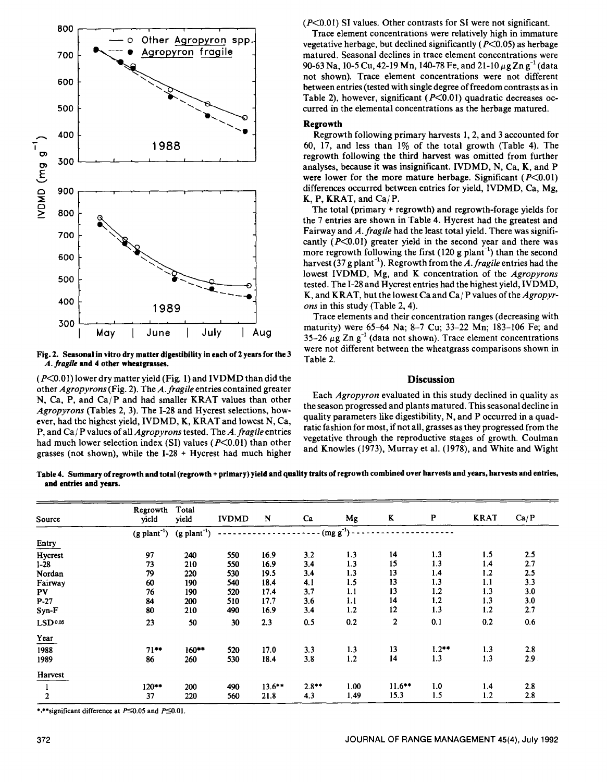

**Fig. 2. Seasonal in vitro dry matter digestibility in each of 2 years for the 3** A. *fragile* **and 4 other wheatgrasses.**

 $(P<0.01)$  lower dry matter yield (Fig. 1) and IVDMD than did the other *Agropyrons* (Fig. 2). The *A. fragile* entries contained greater N, Ca, P, and Ca/P and had smaller KRAT values than other *Agropyrons* (Tables 2, 3). The 1-28 and Hycrest selections, however, had the highest yield, IVDMD, K, KRAT and lowest N, Ca, P, and Ca / P values of all *Agropyrons* tested. The *A. fragile* entries had much lower selection index (SI) values ( $P \le 0.01$ ) than other grasses (not shown), while the 1-28 + Hycrest had much higher (P<0.01) SI values. Other contrasts for SI were not significant.

Trace element concentrations were relatively high in immature vegetative herbage, but declined significantly ( $P \leq 0.05$ ) as herbage matured. Seasonal declines in trace element concentrations were 90-63 Na, 10-5 Cu, 42-19 Mn, 140-78 Fe, and 21-10  $\mu$ g Zn g<sup>-1</sup> (data not shown). Trace element concentrations were not different between entries (tested with single degree of freedom contrasts as in Table 2), however, significant ( $P<0.01$ ) quadratic decreases occurred in the elemental concentrations as the herbage matured.

### **Regrowth**

Regrowth following primary harvests 1, 2, and 3 accounted for 60, 17, and less than  $1\%$  of the total growth (Table 4). The regrowth following the third harvest was omitted from further analyses, because it was insignificant. IVDMD, N, Ca, K, and P were lower for the more mature herbage. Significant  $(P<0.01)$ differences occurred between entries for yield, IVDMD, Ca, Mg,  $K, P, KRAT, and Ca/P.$ 

The total (primary + regrowth) and regrowth-forage yields for the 7 entries are shown in Table 4. Hycrest had the greatest and Fairway and *A. fragile* had the least total yield. There was significantly  $(P<0.01)$  greater yield in the second year and there was more regrowth following the first  $(120 \text{ g plant}^{-1})$  than the second harvest (37 g plant<sup>-1</sup>). Regrowth from the A. fragile entries had the lowest IVDMD, Mg, and K concentration of the *Agropyrons* tested. The 1-28 and Hycrest entries had the highest yield, IVDMD, K, and KRAT, but the lowest Ca and Ca/ P values of the *Agropyrons* in this study (Table 2, 4).

Trace elements and their concentration ranges (decreasing with maturity) were 65-64 Na; 8-7 Cu; 33-22 Mn; 183-106 Fe; and 35-26  $\mu$ g Zn g<sup>-1</sup> (data not shown). Trace element concentrations were not different between the wheatgrass comparisons shown in Table 2.

# **Discussion**

Each *Agropyron* evaluated in this study declined in quality as the season progressed and plants matured. This seasonal decline in quality parameters like digestibility, N, and P occurred in a quadratic fashion for most, if not all, grasses as they progressed from the vegetative through the reproductive stages of growth. Coulman and Knowles (1973), Murray et al. (1978), and White and Wight

**Table 4. Summary of regrowth and total (regrowth + primary)** yield and **quality traits of regrowth combined over harvests and years, harvests and entries, and entries and years.**

| Source              | Regrowth<br>vield          | Total<br>yield             | <b>IVDMD</b> | N         | Ca                        | Mg   | K              | P       | <b>KRAT</b> | Ca/P |
|---------------------|----------------------------|----------------------------|--------------|-----------|---------------------------|------|----------------|---------|-------------|------|
|                     | $(g$ plant <sup>-1</sup> ) | $(g$ plant <sup>-1</sup> ) |              |           | $\cdot$ (mg g^-1) $\cdot$ |      |                |         |             |      |
| Entry               |                            |                            |              |           |                           |      |                |         |             |      |
| Hycrest             | 97                         | 240                        | 550          | 16.9      | 3.2                       | 1.3  | 14             | 1.3     | 1.5         | 2.5  |
| $I-28$              | 73                         | 210                        | 550          | 16.9      | 3.4                       | 1.3  | 15             | 1.3     | 1.4         | 2.7  |
| Nordan              | 79                         | 220                        | 530          | 19.5      | 3.4                       | 1.3  | 13             | 1.4     | 1.2         | 2.5  |
| Fairway             | 60                         | 190                        | 540          | 18.4      | 4.1                       | 1.5  | 13             | 1.3     | 1.1         | 3.3  |
| PV                  | 76                         | 190                        | 520          | 17.4      | 3.7                       | 1.1  | 13             | 1.2     | 1.3         | 3.0  |
| $P-27$              | 84                         | 200                        | 510          | 17.7      | 3.6                       | 1.1  | 14             | 1.2     | 1.3         | 3.0  |
| Syn-F               | 80                         | 210                        | 490          | 16.9      | 3.4                       | 1.2  | 12             | 1.3     | 1.2         | 2.7  |
| LSD <sub>0.05</sub> | 23                         | 50                         | 30           | 2.3       | 0.5                       | 0.2  | $\overline{2}$ | 0.1     | 0.2         | 0.6  |
| Year                |                            |                            |              |           |                           |      |                |         |             |      |
| 1988                | $71***$                    | $160**$                    | 520          | 17.0      | 3.3                       | 1.3  | 13             | $1.2**$ | 1.3         | 2.8  |
| 1989                | 86                         | 260                        | 530          | 18.4      | 3.8                       | 1.2  | 14             | 1.3     | 1.3         | 2.9  |
| Harvest             |                            |                            |              |           |                           |      |                |         |             |      |
|                     | $120**$                    | 200                        | 490          | $13.6***$ | $2.8**$                   | 1.00 | $11.6***$      | 1.0     | 1.4         | 2.8  |
| $\overline{2}$      | 37                         | 220                        | 560          | 21.8      | 4.3                       | 1.49 | 15.3           | 1.5     | 1.2         | 2.8  |

\*,\*\*significant difference at  $P \le 0.05$  and  $P \le 0.01$ .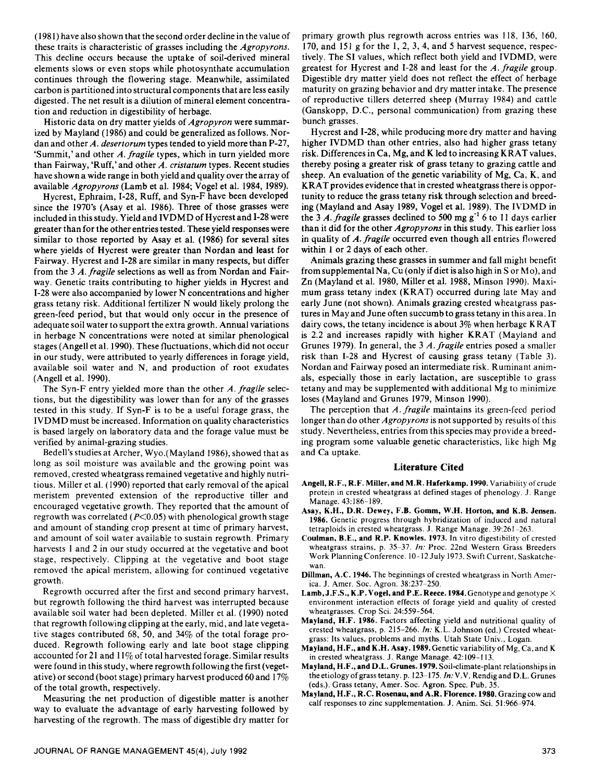(1981) have also shown that the second order decline in the value of these traits is characteristic of grasses including the *Agropyrons.* This decline occurs because the uptake of soil-derived mineral elements slows or even stops while photosynthate accumulation continues through the flowering stage. Meanwhile, assimilated carbon is partitioned into structural components that are less easily digested. The net result is a dilution of mineral element concentration and reduction in digestibility of herbage.

Historic data on dry matter yields of *Agropyron* were summarized by Mayland (1986) and could be generalized as follows. Nordan and other A. *desertorum* types tended to yield more than P-27, `Summit,' and other A. *fragile* types, which in turn yielded more than Fairway, 'Ruff,' and other *A. cristaturn* types. Recent studies have shown a wide range in both yield and quality over the array of available *Agropyrons* (Lamb et al. 1984; Vogel et al. 1984, 1989).

Hycrest, Ephraim, 1-28, Ruff, and Syn-F have been developed since the 1970's (Asay et al. 1986). Three of those grasses were included in this study. Yield and IVDMD of Hycrest and 1-28 were greater than for the other entries tested. These yield responses were similar to those reported by Asay et al. (1986) for several sites where yields of Hycrest were greater than Nordan and least for Fairway. Hycrest and 1-28 are similar in many respects, but differ from the 3 A. *fragile* selections as well as from Nordan and Fairway. Genetic traits contributing to higher yields in Hycrest and 1-28 were also accompanied by lower N concentrations and higher grass tetany risk. Additional fertilizer N would likely prolong the green-feed period, but that would only occur in the presence of adequate soil water to support the extra growth. Annual variations in herbage N concentrations were noted at similar phenological stages (Angell et al. 1990). These fluctuations, which did not occur in our study, were attributed to yearly differences in forage yield, available soil water and N, and production of root exudates (Angell et al. 1990).

The Syn-F entry yielded more than the other *A. fragile* selections, but the digestibility was lower than for any of the grasses tested in this study. If Syn-F is to be a useful forage grass, the IVDMD must be increased. Information on quality characteristics is based largely on laboratory data and the forage value must be verified by animal-grazing studies.

Bedell's studies at Archer, Wyo.(Mayland 1986), showed that as long as soil moisture was available and the growing point was removed, crested wheatgrass remained vegetative and highly nutritious. Miller et al. (1990) reported that early removal of the apical meristem prevented extension of the reproductive tiller and encouraged vegetative growth. They reported that the amount of regrowth was correlated ( $P \leq 0.05$ ) with phenological growth stage and amount of standing crop present at time of primary harvest, and amount of soil water available to sustain regrowth. Primary harvests 1 and 2 in our study occurred at the vegetative and boot stage, respectively. Clipping at the vegetative and boot stage removed the apical meristem, allowing for continued vegetative growth.

Regrowth occurred after the first and second primary harvest, but regrowth following the third harvest was interrupted because available soil water had been depleted. Miller et al. (1990) noted that regrowth following clipping at the early, mid, and late vegetative stages contributed 68, 50, and 34% of the total forage produced. Regrowth following early and late boot stage clipping accounted for 21 and  $11\%$  of total harvested forage. Similar results were found in this study, where regrowth following the first (vegetative) or second (boot stage) primary harvest produced 60 and 17% of the total growth, respectively.

Measuring the net production of digestible matter is another way to evaluate the advantage of early harvesting followed by harvesting of the regrowth. The mass of digestible dry matter for primary growth plus regrowth across entries was 118, 136, 160, 170, and 151 g for the 1, 2, 3, 4, and 5 harvest sequence, respectively. The SI values, which reflect both yield and IVDMD, were greatest for Hycrest and 1-28 and least for the *A. fragile* group. Digestible dry matter yield does not reflect the effect of herbage maturity on grazing behavior and dry matter intake. The presence of reproductive tillers deterred sheep (Murray 1984) and cattle (Ganskopp, D.C., personal communication) from grazing these bunch grasses.

Hycrest and 1-28, while producing more dry matter and having higher IVDMD than other entries, also had higher grass tetany risk. Differences in Ca, Mg, and K led to increasing K RAT values, thereby posing a greater risk of grass tetany to grazing cattle and sheep. An evaluation of the genetic variability of Mg, Ca, K, and KRAT provides evidence that in crested wheatgrass there is opportunity to reduce the grass tetany risk through selection and breeding (Mayland and Asay 1989, Vogel et al. 1989). The IVDMD in the 3 *A. fragile* grasses declined to 500 mg  $g^{-1}$  6 to 11 days earlier than it did for the other *Agropyrons in* this study. This earlier loss in quality of *A. fragile* occurred even though all entries flowered within 1 or 2 days of each other.

Animals grazing these grasses in summer and fall might benefit from supplemental Na, Cu (only if diet is also high in S or M o), and Zn (Mayland et al. 1980, Miller et al. 1988, Minson 1990). Maximum grass tetany index (KRAT) occurred during late May and early June (not shown). Animals grazing crested wheatgrass pastures in May and June often succumb to grass tetany in this area. In dairy cows, the tetany incidence is about 3% when herbage K RAT is 2.2 and increases rapidly with higher KRAT (Mayland and Grunes 1979). In general, the 3 *A. fragile* entries posed a smaller risk than 1-28 and Hycrest of causing grass tetany (Table 3). Nordan and Fairway posed an intermediate risk. Ruminant animals, especially those in early lactation, are susceptible to grass tetany and may be supplemented with additional Mg to minimize loses (Mayland and Grunes 1979, Minson 1990).

The perception that *A. fragile* maintains its green-feed period longer than do other *Agropyrons* is not supported by results of this study. Nevertheless, entries from this species may provide a breeding program some valuable genetic characteristics, like high Mg and Ca uptake.

#### **Literature Cited**

- Angell, R.F., R.F. Miller, and M.R. Haferkamp. **1990.** Variability of crude protein in crested wheatgrass at defined stages of phenology. J. Range Manage. 43:186-189.
- **Asay, K.H., D.R.** Dewey, F.B. Gomm, W.H. Horton, and K.B. Jensen. **1986.** Genetic progress through hybridization of induced and natural tetraploids in crested wheatgrass. J. Range Manage. 39:261-263.
- Coulman, B.E., and R.P. Knowles. 1973. In vitro digestibility of crested wheatgrass strains, p. 35-37. *In:* Proc. 22nd Western Grass Breeders Work Planning Conference. 10-12 July 1973. Swift Current, Saskatchewan.
- Dillman, A.C. **1946.** The beginnings of crested wheatgrass in North America. J. Amer. Soc. Agron. 38:237-250.
- Lamb, J.F.S., K.P. Vogel, and P.E. Reece. **1984.** Genotype and genotype X environment interaction effects of forage yield and quality of crested wheatgrasses. Crop Sci. 24:559-564.
- Mayland, H.F. **1986.** Factors affecting yield and nutritional quality of crested wheatgrass, p. 215-266. *In:* K.L. Johnson (ed.) Crested wheatgrass: Its values, problems and myths. Utah State Univ., Logan.
- **Mayland, H.F., and K.H.** Asay. **1989.** Genetic variability of Mg, Ca, and K in crested wheatgrass. J. Range Manage. 42:109-113.
- Mayland, H.F., and D.L. Grunes. 1979. Soil-climate-plant relationships in the etiology of grass tetany. p. 123-175. *In: V.V.* Rendig and D.L. Grunes (eds.). Grass tetany, Amer. Soc. Agron. Spec. Pub. 35.
- **Mayland, H.F., R.C. Rosenau, and A.R. Florence. 1980.** Grazing cow and calf responses to zinc supplementation. *J.* Anim. Sci. 51:966-974.